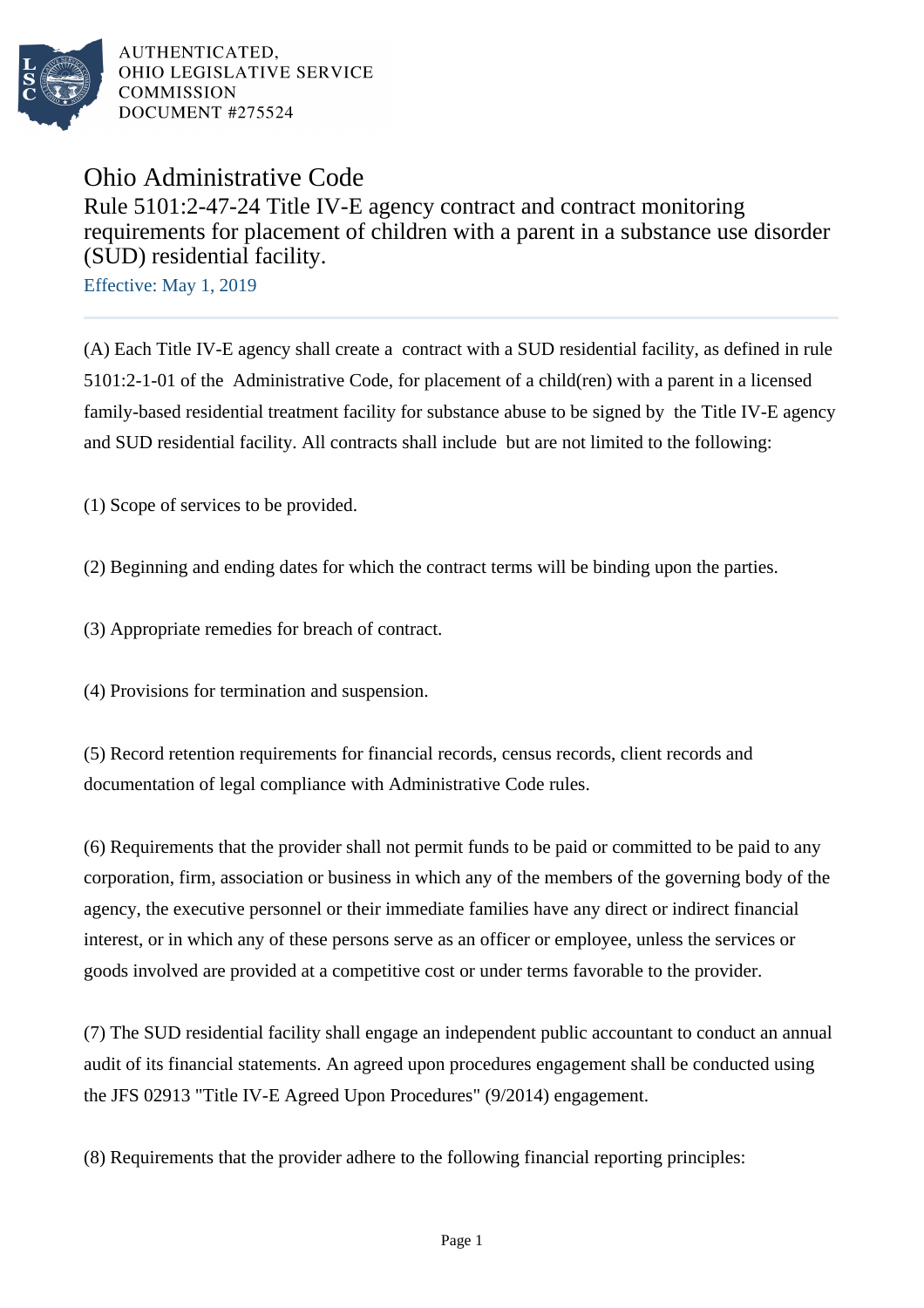

AUTHENTICATED. OHIO LEGISLATIVE SERVICE **COMMISSION** DOCUMENT #275524

## Ohio Administrative Code Rule 5101:2-47-24 Title IV-E agency contract and contract monitoring requirements for placement of children with a parent in a substance use disorder (SUD) residential facility.

Effective: May 1, 2019

(A) Each Title IV-E agency shall create a contract with a SUD residential facility, as defined in rule 5101:2-1-01 of the Administrative Code, for placement of a child(ren) with a parent in a licensed family-based residential treatment facility for substance abuse to be signed by the Title IV-E agency and SUD residential facility. All contracts shall include but are not limited to the following:

(1) Scope of services to be provided.

(2) Beginning and ending dates for which the contract terms will be binding upon the parties.

(3) Appropriate remedies for breach of contract.

(4) Provisions for termination and suspension.

(5) Record retention requirements for financial records, census records, client records and documentation of legal compliance with Administrative Code rules.

(6) Requirements that the provider shall not permit funds to be paid or committed to be paid to any corporation, firm, association or business in which any of the members of the governing body of the agency, the executive personnel or their immediate families have any direct or indirect financial interest, or in which any of these persons serve as an officer or employee, unless the services or goods involved are provided at a competitive cost or under terms favorable to the provider.

(7) The SUD residential facility shall engage an independent public accountant to conduct an annual audit of its financial statements. An agreed upon procedures engagement shall be conducted using the JFS 02913 "Title IV-E Agreed Upon Procedures" (9/2014) engagement.

(8) Requirements that the provider adhere to the following financial reporting principles: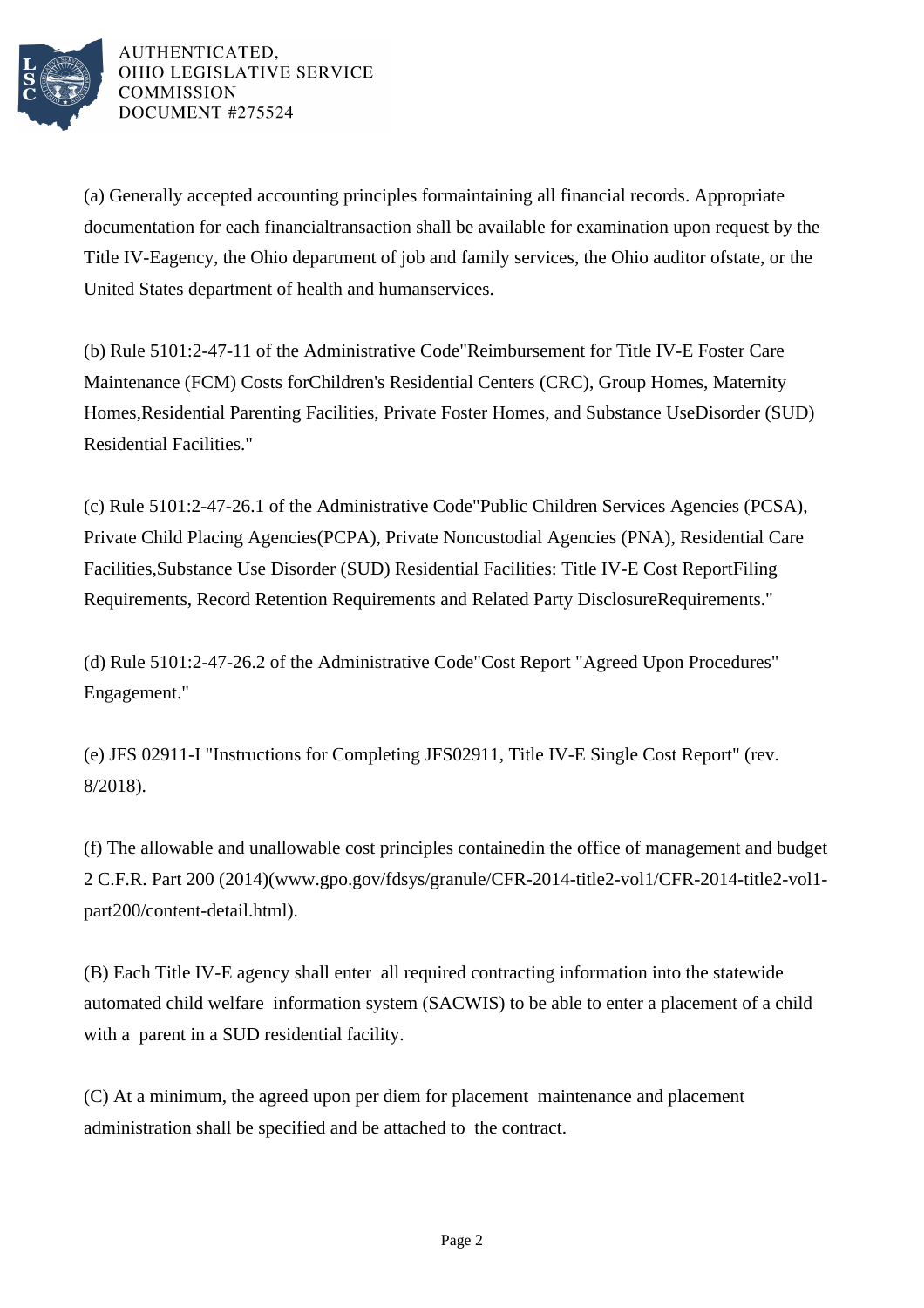

AUTHENTICATED. OHIO LEGISLATIVE SERVICE **COMMISSION** DOCUMENT #275524

(a) Generally accepted accounting principles for maintaining all financial records. Appropriate documentation for each financial transaction shall be available for examination upon request by the Title IV-E agency, the Ohio department of job and family services, the Ohio auditor of state, or the United States department of health and human services.

(b) Rule 5101:2-47-11 of the Administrative Code "Reimbursement for Title IV-E Foster Care Maintenance (FCM) Costs for Children's Residential Centers (CRC), Group Homes, Maternity Homes, Residential Parenting Facilities, Private Foster Homes, and Substance Use Disorder (SUD) Residential Facilities."

(c) Rule 5101:2-47-26.1 of the Administrative Code "Public Children Services Agencies (PCSA), Private Child Placing Agencies (PCPA), Private Noncustodial Agencies (PNA), Residential Care Facilities, Substance Use Disorder (SUD) Residential Facilities: Title IV-E Cost Report Filing Requirements, Record Retention Requirements and Related Party Disclosure Requirements."

(d) Rule 5101:2-47-26.2 of the Administrative Code "Cost Report "Agreed Upon Procedures" Engagement."

(e) JFS 02911-I "Instructions for Completing JFS 02911, Title IV-E Single Cost Report" (rev. 8/2018).

(f) The allowable and unallowable cost principles contained in the office of management and budget 2 C.F.R. Part 200 (2014) (www.gpo.gov/fdsys/granule/CFR-2014-title2-vol1/CFR-2014-title2-vol1part200/content-detail.html).

(B) Each Title IV-E agency shall enter all required contracting information into the statewide automated child welfare information system (SACWIS) to be able to enter a placement of a child with a parent in a SUD residential facility.

(C) At a minimum, the agreed upon per diem for placement maintenance and placement administration shall be specified and be attached to the contract.